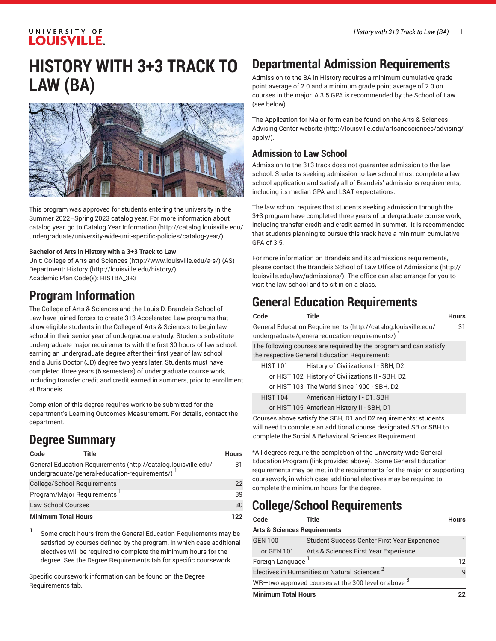#### UNIVERSITY OF **LOUISVILLE.**

# **HISTORY WITH 3+3 TRACK TO LAW (BA)**



This program was approved for students entering the university in the Summer 2022–Spring 2023 catalog year. For more information about catalog year, go to Catalog Year [Information](http://catalog.louisville.edu/undergraduate/university-wide-unit-specific-policies/catalog-year/) ([http://catalog.louisville.edu/](http://catalog.louisville.edu/undergraduate/university-wide-unit-specific-policies/catalog-year/) [undergraduate/university-wide-unit-specific-policies/catalog-year/](http://catalog.louisville.edu/undergraduate/university-wide-unit-specific-policies/catalog-year/)).

#### **Bachelor of Arts in History with a 3+3 Track to Law**

Unit: College of Arts and [Sciences \(http://www.louisville.edu/a-s/\)](http://www.louisville.edu/a-s/) (AS) Department: [History \(http://louisville.edu/history/\)](http://louisville.edu/history/) Academic Plan Code(s): HISTBA\_3+3

### **Program Information**

The College of Arts & Sciences and the Louis D. Brandeis School of Law have joined forces to create 3+3 Accelerated Law programs that allow eligible students in the College of Arts & Sciences to begin law school in their senior year of undergraduate study. Students substitute undergraduate major requirements with the first 30 hours of law school, earning an undergraduate degree after their first year of law school and a Juris Doctor (JD) degree two years later. Students must have completed three years (6 semesters) of undergraduate course work, including transfer credit and credit earned in summers, prior to enrollment at Brandeis.

Completion of this degree requires work to be submitted for the department's Learning Outcomes Measurement. For details, contact the department.

# **Degree Summary**

| Code                                    | Title                                                                                                            | <b>Hours</b> |
|-----------------------------------------|------------------------------------------------------------------------------------------------------------------|--------------|
|                                         | General Education Requirements (http://catalog.louisville.edu/<br>undergraduate/general-education-requirements/) | 31           |
| College/School Requirements             |                                                                                                                  | 22           |
| Program/Major Requirements <sup>1</sup> |                                                                                                                  | 39           |
| <b>Law School Courses</b>               |                                                                                                                  | 30           |
| <b>Minimum Total Hours</b>              |                                                                                                                  | 122          |

1 Some credit hours from the General Education Requirements may be satisfied by courses defined by the program, in which case additional electives will be required to complete the minimum hours for the degree. See the Degree Requirements tab for specific coursework.

Specific coursework information can be found on the Degree Requirements tab.

# **Departmental Admission Requirements**

Admission to the BA in History requires a minimum cumulative grade point average of 2.0 and a minimum grade point average of 2.0 on courses in the major. A 3.5 GPA is recommended by the School of Law (see below).

The Application for Major form can be found on the Arts & [Sciences](http://louisville.edu/artsandsciences/advising/apply/) [Advising Center website](http://louisville.edu/artsandsciences/advising/apply/) ([http://louisville.edu/artsandsciences/advising/](http://louisville.edu/artsandsciences/advising/apply/) [apply/](http://louisville.edu/artsandsciences/advising/apply/)).

#### **Admission to Law School**

Admission to the 3+3 track does not guarantee admission to the law school. Students seeking admission to law school must complete a law school application and satisfy all of Brandeis' admissions requirements, including its median GPA and LSAT expectations.

The law school requires that students seeking admission through the 3+3 program have completed three years of undergraduate course work, including transfer credit and credit earned in summer. It is recommended that students planning to pursue this track have a minimum cumulative GPA of 3.5.

For more information on Brandeis and its admissions requirements, please contact the [Brandeis School of Law Office of Admissions](http://louisville.edu/law/admissions/) ([http://](http://louisville.edu/law/admissions/) [louisville.edu/law/admissions/](http://louisville.edu/law/admissions/)). The office can also arrange for you to visit the law school and to sit in on a class.

### **General Education Requirements**

|                                                                                                                  | Code            | Title                                                                                                              | <b>Hours</b> |
|------------------------------------------------------------------------------------------------------------------|-----------------|--------------------------------------------------------------------------------------------------------------------|--------------|
| General Education Requirements (http://catalog.louisville.edu/<br>undergraduate/general-education-requirements/) |                 |                                                                                                                    | 31           |
|                                                                                                                  |                 | The following courses are required by the program and can satisfy<br>the respective General Education Requirement: |              |
|                                                                                                                  | <b>HIST 101</b> | History of Civilizations I - SBH, D2                                                                               |              |
|                                                                                                                  |                 | or HIST 102 History of Civilizations II - SBH, D2                                                                  |              |
|                                                                                                                  |                 | or HIST 103 The World Since 1900 - SBH, D2                                                                         |              |
|                                                                                                                  | <b>HIST 104</b> | American History I - D1, SBH                                                                                       |              |
|                                                                                                                  |                 | or HIST 105 American History II - SBH, D1                                                                          |              |
|                                                                                                                  |                 |                                                                                                                    |              |

Courses above satisfy the SBH, D1 and D2 requirements; students will need to complete an additional course designated SB or SBH to complete the Social & Behavioral Sciences Requirement.

\*All degrees require the completion of the University-wide General Education Program (link provided above). Some General Education requirements may be met in the requirements for the major or supporting coursework, in which case additional electives may be required to complete the minimum hours for the degree.

# **College/School Requirements**

| Code                                                     | Title                                               | <b>Hours</b> |
|----------------------------------------------------------|-----------------------------------------------------|--------------|
| <b>Arts &amp; Sciences Requirements</b>                  |                                                     |              |
| <b>GEN 100</b>                                           | Student Success Center First Year Experience        |              |
| or GEN 101                                               | Arts & Sciences First Year Experience               |              |
| Foreign Language                                         |                                                     |              |
| Electives in Humanities or Natural Sciences <sup>2</sup> |                                                     | q            |
|                                                          | WR-two approved courses at the 300 level or above 3 |              |
| <b>Minimum Total Hours</b>                               |                                                     |              |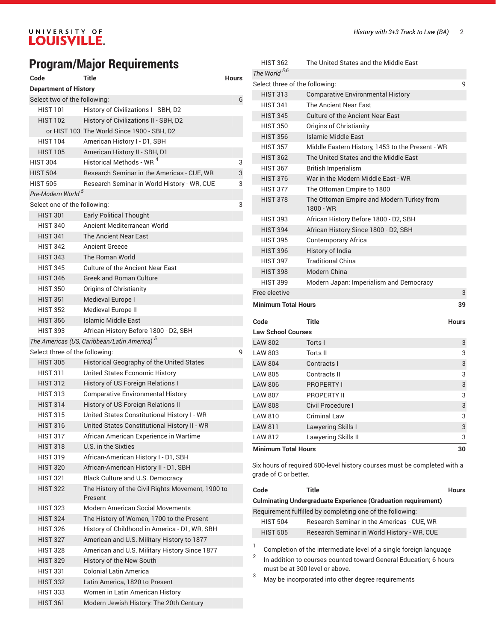# **Program/Major Requirements**

| Code                           | Title                                                   | Hours |  |
|--------------------------------|---------------------------------------------------------|-------|--|
| <b>Department of History</b>   |                                                         |       |  |
|                                | Select two of the following:<br>6                       |       |  |
| HIST 101                       | History of Civilizations I - SBH, D2                    |       |  |
| <b>HIST 102</b>                | History of Civilizations II - SBH, D2                   |       |  |
|                                | or HIST 103 The World Since 1900 - SBH, D2              |       |  |
| <b>HIST 104</b>                | American History I - D1, SBH                            |       |  |
| <b>HIST 105</b>                | American History II - SBH, D1                           |       |  |
| <b>HIST 304</b>                | Historical Methods - WR <sup>4</sup>                    | 3     |  |
| <b>HIST 504</b>                | Research Seminar in the Americas - CUE, WR              | 3     |  |
| <b>HIST 505</b>                | Research Seminar in World History - WR, CUE             | 3     |  |
| Pre-Modern World <sup>5</sup>  |                                                         |       |  |
| Select one of the following:   |                                                         | 3     |  |
| <b>HIST 301</b>                | <b>Early Political Thought</b>                          |       |  |
| <b>HIST 340</b>                | Ancient Mediterranean World                             |       |  |
| <b>HIST 341</b>                | The Ancient Near East                                   |       |  |
| <b>HIST 342</b>                | <b>Ancient Greece</b>                                   |       |  |
| <b>HIST 343</b>                | The Roman World                                         |       |  |
| <b>HIST 345</b>                | Culture of the Ancient Near East                        |       |  |
| <b>HIST 346</b>                | <b>Greek and Roman Culture</b>                          |       |  |
| <b>HIST 350</b>                | Origins of Christianity                                 |       |  |
| <b>HIST 351</b>                | Medieval Europe I                                       |       |  |
| <b>HIST 352</b>                | Medieval Europe II                                      |       |  |
| <b>HIST 356</b>                | Islamic Middle East                                     |       |  |
| <b>HIST 393</b>                | African History Before 1800 - D2, SBH                   |       |  |
|                                | The Americas (US, Caribbean/Latin America) <sup>5</sup> |       |  |
| Select three of the following: |                                                         | 9     |  |
| <b>HIST 305</b>                | Historical Geography of the United States               |       |  |
| <b>HIST 311</b>                | United States Economic History                          |       |  |
| <b>HIST 312</b>                | History of US Foreign Relations I                       |       |  |
| <b>HIST 313</b>                | <b>Comparative Environmental History</b>                |       |  |
| <b>HIST 314</b>                | History of US Foreign Relations II                      |       |  |
| <b>HIST 315</b>                | United States Constitutional History I - WR             |       |  |
| <b>HIST 316</b>                | United States Constitutional History II - WR            |       |  |
| <b>HIST 317</b>                | African American Experience in Wartime                  |       |  |
| <b>HIST 318</b>                | U.S. in the Sixties                                     |       |  |
| <b>HIST 319</b>                | African-American History I - D1, SBH                    |       |  |
| <b>HIST 320</b>                | African-American History II - D1, SBH                   |       |  |
| <b>HIST 321</b>                | Black Culture and U.S. Democracy                        |       |  |
| <b>HIST 322</b>                | The History of the Civil Rights Movement, 1900 to       |       |  |
|                                | Present                                                 |       |  |
| <b>HIST 323</b>                | <b>Modern American Social Movements</b>                 |       |  |
| <b>HIST 324</b>                | The History of Women, 1700 to the Present               |       |  |
| <b>HIST 326</b>                | History of Childhood in America - D1, WR, SBH           |       |  |
| <b>HIST 327</b>                | American and U.S. Military History to 1877              |       |  |
| <b>HIST 328</b>                | American and U.S. Military History Since 1877           |       |  |
| HIST 329                       | History of the New South                                |       |  |
| <b>HIST 331</b>                | <b>Colonial Latin America</b>                           |       |  |
| <b>HIST 332</b>                | Latin America, 1820 to Present                          |       |  |
| <b>HIST 333</b>                | Women in Latin American History                         |       |  |
| <b>HIST 361</b>                | Modern Jewish History: The 20th Century                 |       |  |

| <b>Law School Courses</b>        |                                                        |       |
|----------------------------------|--------------------------------------------------------|-------|
| Code                             | Title                                                  | Hours |
| <b>Minimum Total Hours</b><br>39 |                                                        |       |
| Free elective                    |                                                        | 3     |
| <b>HIST 399</b>                  | Modern Japan: Imperialism and Democracy                |       |
| <b>HIST 398</b>                  | Modern China                                           |       |
| <b>HIST 397</b>                  | <b>Traditional China</b>                               |       |
| <b>HIST 396</b>                  | <b>History of India</b>                                |       |
| <b>HIST 395</b>                  | Contemporary Africa                                    |       |
| <b>HIST 394</b>                  | African History Since 1800 - D2, SBH                   |       |
| <b>HIST 393</b>                  | African History Before 1800 - D2, SBH                  |       |
| <b>HIST 378</b>                  | The Ottoman Empire and Modern Turkey from<br>1800 - WR |       |
| <b>HIST 377</b>                  | The Ottoman Empire to 1800                             |       |
| <b>HIST 376</b>                  | War in the Modern Middle Fast - WR                     |       |
| <b>HIST 367</b>                  | <b>British Imperialism</b>                             |       |
| <b>HIST 362</b>                  | The United States and the Middle East                  |       |
| <b>HIST 357</b>                  | Middle Eastern History, 1453 to the Present - WR       |       |
| <b>HIST 356</b>                  | <b>Islamic Middle East</b>                             |       |
| <b>HIST 350</b>                  | Origins of Christianity                                |       |
| <b>HIST 345</b>                  | Culture of the Ancient Near East                       |       |
| <b>HIST 341</b>                  | The Ancient Near Fast                                  |       |
| <b>HIST 313</b>                  | <b>Comparative Environmental History</b>               |       |
| Select three of the following:   |                                                        | q     |
| The World <sup>5,6</sup>         |                                                        |       |
| <b>HIST 362</b>                  | The United States and the Middle East                  |       |

| <b>Law School Courses</b>  |                     |    |
|----------------------------|---------------------|----|
| <b>LAW 802</b>             | Torts I             | 3  |
| <b>LAW 803</b>             | Torts II            | 3  |
| <b>LAW 804</b>             | Contracts I         | 3  |
| <b>LAW 805</b>             | Contracts II        | 3  |
| <b>LAW 806</b>             | <b>PROPERTY I</b>   | 3  |
| <b>LAW 807</b>             | PROPERTY II         | 3  |
| <b>LAW 808</b>             | Civil Procedure I   | 3  |
| <b>LAW 810</b>             | Criminal Law        | 3  |
| <b>LAW 811</b>             | Lawyering Skills I  | 3  |
| LAW 812                    | Lawyering Skills II | 3  |
| <b>Minimum Total Hours</b> |                     | 30 |

Six hours of required 500-level history courses must be completed with a grade of C or better.

| Code            | <b>Title</b>                                                         | <b>Hours</b> |
|-----------------|----------------------------------------------------------------------|--------------|
|                 | <b>Culminating Undergraduate Experience (Graduation requirement)</b> |              |
|                 | Requirement fulfilled by completing one of the following:            |              |
| <b>HIST 504</b> | Research Seminar in the Americas - CUE, WR                           |              |
| <b>HIST 505</b> | Research Seminar in World History - WR, CUE                          |              |
|                 | Completion of the intermediate level of a single foreign language    |              |

Completion of the intermediate level of a single foreign language

 $^{\rm 2}$   $\,$  In addition to courses counted toward General Education; 6 hours must be at 300 level or above.

<sup>3</sup> May be incorporated into other degree requirements